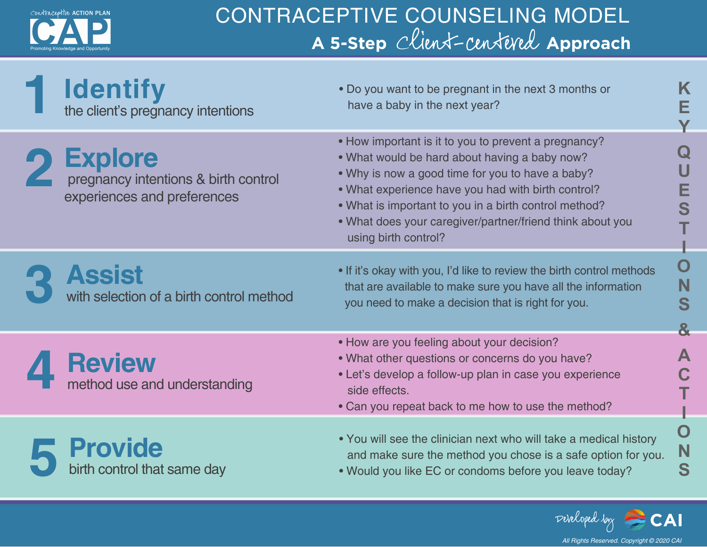

## CONTRACEPTIVE COUNSELING MODEL **A 5-Step** Client-centered **Approach**

| <b>Identify</b><br>the client's pregnancy intentions                                  | . Do you want to be pregnant in the next 3 months or<br>have a baby in the next year?                                                                                                                                                                                                                                                                         | E                 |
|---------------------------------------------------------------------------------------|---------------------------------------------------------------------------------------------------------------------------------------------------------------------------------------------------------------------------------------------------------------------------------------------------------------------------------------------------------------|-------------------|
| <b>Explore</b><br>pregnancy intentions & birth control<br>experiences and preferences | • How important is it to you to prevent a pregnancy?<br>. What would be hard about having a baby now?<br>• Why is now a good time for you to have a baby?<br>. What experience have you had with birth control?<br>. What is important to you in a birth control method?<br>. What does your caregiver/partner/friend think about you<br>using birth control? | Е<br>S            |
| <b>Assist</b><br>with selection of a birth control method                             | . If it's okay with you, I'd like to review the birth control methods<br>that are available to make sure you have all the information<br>you need to make a decision that is right for you.                                                                                                                                                                   | O<br>N<br>S<br>8. |
| <b>Review</b><br>method use and understanding                                         | • How are you feeling about your decision?<br>. What other questions or concerns do you have?<br>• Let's develop a follow-up plan in case you experience<br>side effects.<br>• Can you repeat back to me how to use the method?                                                                                                                               | C                 |
| <b>Provide</b><br>birth control that same day                                         | . You will see the clinician next who will take a medical history<br>and make sure the method you chose is a safe option for you.<br>. Would you like EC or condoms before you leave today?                                                                                                                                                                   | O<br>N<br>S       |